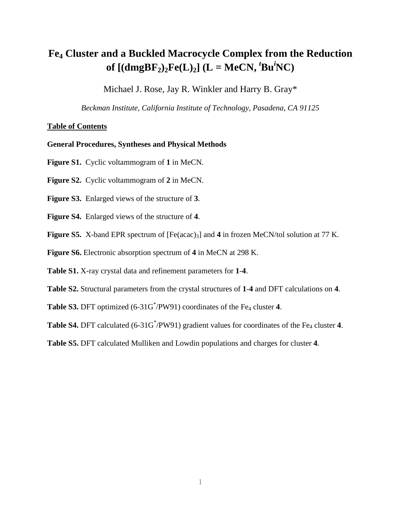## **Fe4 Cluster and a Buckled Macrocycle Complex from the Reduction of**  $[(\text{dmgBF}_2)_2\text{Fe}(L)_2]$  (L = MeCN,  $^t$ Bu<sup>*i*</sup>NC)</sub>

Michael J. Rose, Jay R. Winkler and Harry B. Gray\*

*Beckman Institute, California Institute of Technology, Pasadena, CA 91125*

## **Table of Contents**

## **General Procedures, Syntheses and Physical Methods**

- **Figure S1.** Cyclic voltammogram of **1** in MeCN.
- **Figure S2.** Cyclic voltammogram of **2** in MeCN.
- **Figure S3.** Enlarged views of the structure of **3**.
- **Figure S4.** Enlarged views of the structure of **4**.
- **Figure S5.** X-band EPR spectrum of [Fe(acac)<sub>3</sub>] and 4 in frozen MeCN/tol solution at 77 K.
- **Figure S6.** Electronic absorption spectrum of **4** in MeCN at 298 K.
- **Table S1.** X-ray crystal data and refinement parameters for **1**-**4**.
- **Table S2.** Structural parameters from the crystal structures of **1**-**4** and DFT calculations on **4**.
- **Table S3.** DFT optimized  $(6-31G^* / PW91)$  coordinates of the Fe<sub>4</sub> cluster 4.
- **Table S4.** DFT calculated (6-31G\*/PW91) gradient values for coordinates of the Fe<sub>4</sub> cluster 4.
- **Table S5.** DFT calculated Mulliken and Lowdin populations and charges for cluster **4**.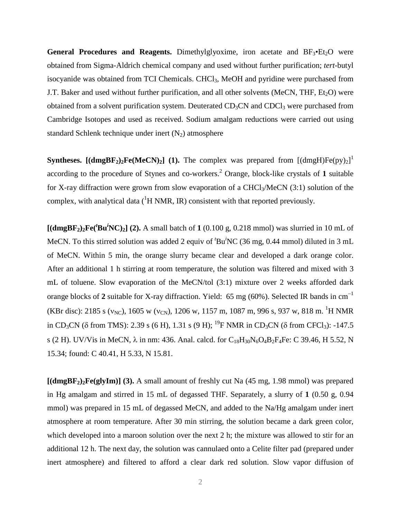**General Procedures and Reagents.** Dimethylglyoxime, iron acetate and  $BF_3 \cdot Et_2O$  were obtained from Sigma-Aldrich chemical company and used without further purification; *tert*-butyl isocyanide was obtained from TCI Chemicals. CHCl<sub>3</sub>, MeOH and pyridine were purchased from J.T. Baker and used without further purification, and all other solvents (MeCN, THF,  $Et<sub>2</sub>O$ ) were obtained from a solvent purification system. Deuterated  $CD_3CN$  and  $CDCl_3$  were purchased from Cambridge Isotopes and used as received. Sodium amalgam reductions were carried out using standard Schlenk technique under inert  $(N_2)$  atmosphere

**Syntheses.** [(dmgBF<sub>2</sub>)<sub>2</sub>Fe(MeCN)<sub>2</sub>] (1). The complex was prepared from [(dmgH)Fe(py)<sub>2</sub>]<sup>1</sup> according to the procedure of Stynes and co-workers.2 Orange, block-like crystals of **1** suitable for X-ray diffraction were grown from slow evaporation of a CHCl<sub>3</sub>/MeCN (3:1) solution of the complex, with analytical data  $({}^{1}H NMR, IR)$  consistent with that reported previously.

 $[(\text{dmgBF}_2)_2\text{Fe}({}^t\text{Bu}^i\text{NC})_2]$  (2). A small batch of 1 (0.100 g, 0.218 mmol) was slurried in 10 mL of MeCN. To this stirred solution was added 2 equiv of 'Bu<sup>i</sup>NC (36 mg, 0.44 mmol) diluted in 3 mL of MeCN. Within 5 min, the orange slurry became clear and developed a dark orange color. After an additional 1 h stirring at room temperature, the solution was filtered and mixed with 3 mL of toluene. Slow evaporation of the MeCN/tol (3:1) mixture over 2 weeks afforded dark orange blocks of **2** suitable for X-ray diffraction. Yield: 65 mg (60%). Selected IR bands in cm<sup>-1</sup> (KBr disc): 2185 s ( $v_{\text{NC}}$ ), 1605 w ( $v_{\text{CN}}$ ), 1206 w, 1157 m, 1087 m, 996 s, 937 w, 818 m. <sup>1</sup>H NMR in CD<sub>3</sub>CN (δ from TMS): 2.39 s (6 H), 1.31 s (9 H); <sup>19</sup>F NMR in CD<sub>3</sub>CN (δ from CFCl<sub>3</sub>): -147.5 s (2 H). UV/Vis in MeCN,  $\lambda$  in nm: 436. Anal. calcd. for  $C_{18}H_{30}N_6O_4B_2F_4Fe$ : C 39.46, H 5.52, N 15.34; found: C 40.41, H 5.33, N 15.81.

**[(dmgBF2)2Fe(glyIm)] (3).** A small amount of freshly cut Na (45 mg, 1.98 mmol) was prepared in Hg amalgam and stirred in 15 mL of degassed THF. Separately, a slurry of **1** (0.50 g, 0.94 mmol) was prepared in 15 mL of degassed MeCN, and added to the Na/Hg amalgam under inert atmosphere at room temperature. After 30 min stirring, the solution became a dark green color, which developed into a maroon solution over the next 2 h; the mixture was allowed to stir for an additional 12 h. The next day, the solution was cannulaed onto a Celite filter pad (prepared under inert atmosphere) and filtered to afford a clear dark red solution. Slow vapor diffusion of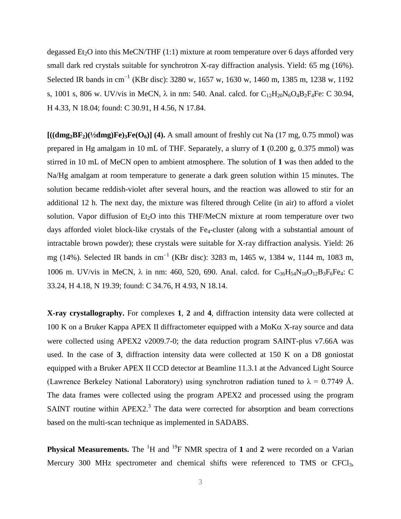degassed  $Et_2O$  into this MeCN/THF  $(1:1)$  mixture at room temperature over 6 days afforded very small dark red crystals suitable for synchrotron X-ray diffraction analysis. Yield: 65 mg (16%). Selected IR bands in cm<sup>-1</sup> (KBr disc): 3280 w, 1657 w, 1630 w, 1460 m, 1385 m, 1238 w, 1192 s, 1001 s, 806 w. UV/vis in MeCN,  $\lambda$  in nm: 540. Anal. calcd. for C<sub>12</sub>H<sub>20</sub>N<sub>6</sub>O<sub>4</sub>B<sub>2</sub>F<sub>4</sub>Fe: C 30.94, H 4.33, N 18.04; found: C 30.91, H 4.56, N 17.84.

 $[((\mathbf{dmg}_2\mathbf{BF}_2)(\frac{1}{2}\mathbf{dmg})\mathbf{Fe})_3\mathbf{Fe}(\mathbf{O}_6)]$  (4). A small amount of freshly cut Na (17 mg, 0.75 mmol) was prepared in Hg amalgam in 10 mL of THF. Separately, a slurry of **1** (0.200 g, 0.375 mmol) was stirred in 10 mL of MeCN open to ambient atmosphere. The solution of **1** was then added to the Na/Hg amalgam at room temperature to generate a dark green solution within 15 minutes. The solution became reddish-violet after several hours, and the reaction was allowed to stir for an additional 12 h. The next day, the mixture was filtered through Celite (in air) to afford a violet solution. Vapor diffusion of  $Et_2O$  into this THF/MeCN mixture at room temperature over two days afforded violet block-like crystals of the Fe<sub>4</sub>-cluster (along with a substantial amount of intractable brown powder); these crystals were suitable for X-ray diffraction analysis. Yield: 26 mg (14%). Selected IR bands in cm<sup>-1</sup> (KBr disc): 3283 m, 1465 w, 1384 w, 1144 m, 1083 m, 1006 m. UV/vis in MeCN, λ in nm: 460, 520, 690. Anal. calcd. for  $C_{36}H_{54}N_{18}O_{12}B_3F_6Fe_4$ : C 33.24, H 4.18, N 19.39; found: C 34.76, H 4.93, N 18.14.

**X-ray crystallography.** For complexes **1**, **2** and **4**, diffraction intensity data were collected at 100 K on a Bruker Kappa APEX II diffractometer equipped with a MoKα X-ray source and data were collected using APEX2 v2009.7-0; the data reduction program SAINT-plus v7.66A was used. In the case of **3**, diffraction intensity data were collected at 150 K on a D8 goniostat equipped with a Bruker APEX II CCD detector at Beamline 11.3.1 at the Advanced Light Source (Lawrence Berkeley National Laboratory) using synchrotron radiation tuned to  $\lambda = 0.7749$  Å. The data frames were collected using the program APEX2 and processed using the program SAINT routine within APEX2. $3$  The data were corrected for absorption and beam corrections based on the multi-scan technique as implemented in SADABS.

**Physical Measurements.** The <sup>1</sup>H and <sup>19</sup>F NMR spectra of 1 and 2 were recorded on a Varian Mercury 300 MHz spectrometer and chemical shifts were referenced to TMS or CFCl<sub>3</sub>,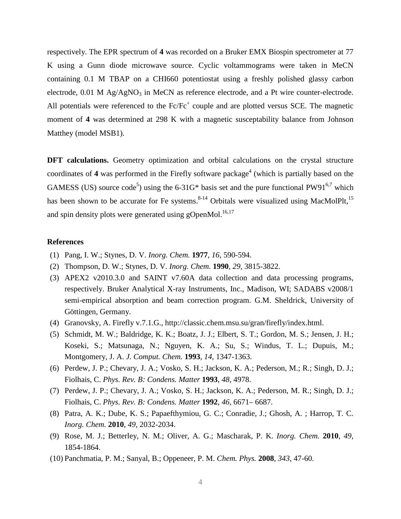respectively. The EPR spectrum of **4** was recorded on a Bruker EMX Biospin spectrometer at 77 K using a Gunn diode microwave source. Cyclic voltammograms were taken in MeCN containing 0.1 M TBAP on a CHI660 potentiostat using a freshly polished glassy carbon electrode,  $0.01$  M Ag/AgNO<sub>3</sub> in MeCN as reference electrode, and a Pt wire counter-electrode. All potentials were referenced to the  $Fc/Fc^+$  couple and are plotted versus SCE. The magnetic moment of **4** was determined at 298 K with a magnetic susceptability balance from Johnson Matthey (model MSB1).

**DFT calculations.** Geometry optimization and orbital calculations on the crystal structure coordinates of 4 was performed in the Firefly software package<sup>4</sup> (which is partially based on the GAMESS (US) source code<sup>5</sup>) using the 6-31G\* basis set and the pure functional PW91<sup>6,7</sup> which has been shown to be accurate for Fe systems.<sup>8-14</sup> Orbitals were visualized using MacMolPlt,<sup>15</sup> and spin density plots were generated using gOpenMol.<sup>16,17</sup>

## **References**

- (1) Pang, I. W.; Stynes, D. V. *Inorg. Chem.* **1977**, *16*, 590-594.
- (2) Thompson, D. W.; Stynes, D. V. *Inorg. Chem.* **1990**, *29*, 3815-3822.
- (3) APEX2 v2010.3.0 and SAINT v7.60A data collection and data processing programs, respectively. Bruker Analytical X-ray Instruments, Inc., Madison, WI; SADABS v2008/1 semi-empirical absorption and beam correction program. G.M. Sheldrick, University of Göttingen, Germany.
- (4) Granovsky, A. Firefly v.7.1.G., http://classic.chem.msu.su/gran/firefly/index.html.
- (5) Schmidt, M. W.; Baldridge, K. K.; Boatz, J. J.; Elbert, S. T.; Gordon, M. S.; Jensen, J. H.; Koseki, S.; Matsunaga, N.; Nguyen, K. A.; Su, S.; Windus, T. L.; Dupuis, M.; Montgomery, J. A. *J. Comput. Chem.* **1993**, *14*, 1347-1363.
- (6) Perdew, J. P.; Chevary, J. A.; Vosko, S. H.; Jackson, K. A.; Pederson, M.; R.; Singh, D. J.; Fiolhais, C. *Phys. Rev. B: Condens. Matter* **1993**, *48*, 4978.
- (7) Perdew, J. P.; Chevary, J. A.; Vosko, S. H.; Jackson, K. A.; Pederson, M. R.; Singh, D. J.; Fiolhais, C. *Phys. Rev. B: Condens. Matter* **1992**, *46*, 6671– 6687.
- (8) Patra, A. K.; Dube, K. S.; Papaefthymiou, G. C.; Conradie, J.; Ghosh, A. ; Harrop, T. C. *Inorg. Chem.* **2010**, *49*, 2032-2034.
- (9) Rose, M. J.; Betterley, N. M.; Oliver, A. G.; Mascharak, P. K. *Inorg. Chem.* **2010**, *49*, 1854-1864.
- (10) Panchmatia, P. M.; Sanyal, B.; Oppeneer, P. M. *Chem. Phys.* **2008**, *343*, 47-60.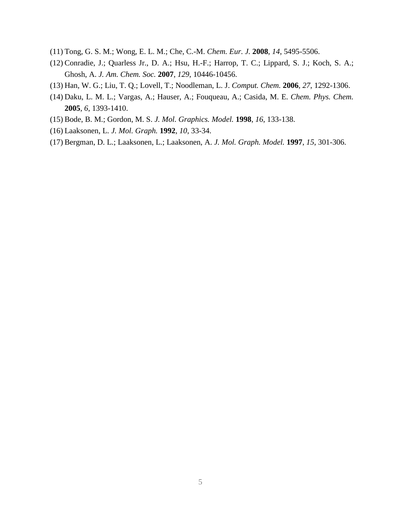- (11) Tong, G. S. M.; Wong, E. L. M.; Che, C.-M. *Chem. Eur. J.* **2008**, *14*, 5495-5506.
- (12) Conradie, J.; Quarless Jr., D. A.; Hsu, H.-F.; Harrop, T. C.; Lippard, S. J.; Koch, S. A.; Ghosh, A. *J. Am. Chem. Soc.* **2007**, *129*, 10446-10456.
- (13) Han, W. G.; Liu, T. Q.; Lovell, T.; Noodleman, L. J. *Comput. Chem.* **2006**, *27*, 1292-1306.
- (14) Daku, L. M. L.; Vargas, A.; Hauser, A.; Fouqueau, A.; Casida, M. E. *Chem. Phys. Chem.* **2005**, *6*, 1393-1410.
- (15) Bode, B. M.; Gordon, M. S. *J. Mol. Graphics. Model.* **1998**, *16*, 133-138.
- (16) Laaksonen, L. *J. Mol. Graph.* **1992**, *10*, 33-34.
- (17) Bergman, D. L.; Laaksonen, L.; Laaksonen, A. *J. Mol. Graph. Model.* **1997**, *15*, 301-306.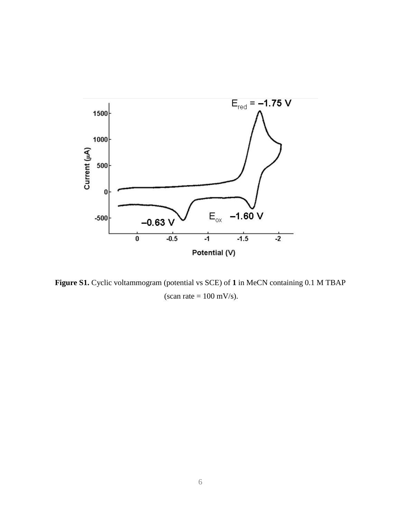

**Figure S1.** Cyclic voltammogram (potential vs SCE) of **1** in MeCN containing 0.1 M TBAP (scan rate  $= 100$  mV/s).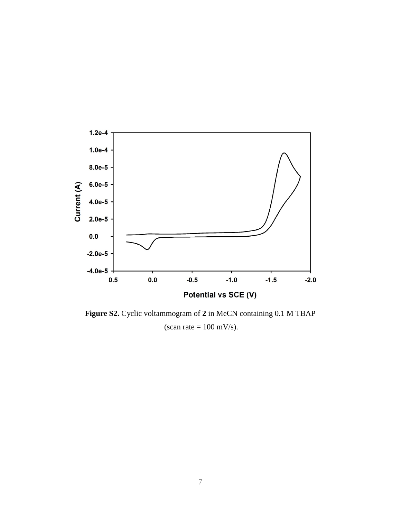

**Figure S2.** Cyclic voltammogram of **2** in MeCN containing 0.1 M TBAP (scan rate  $= 100$  mV/s).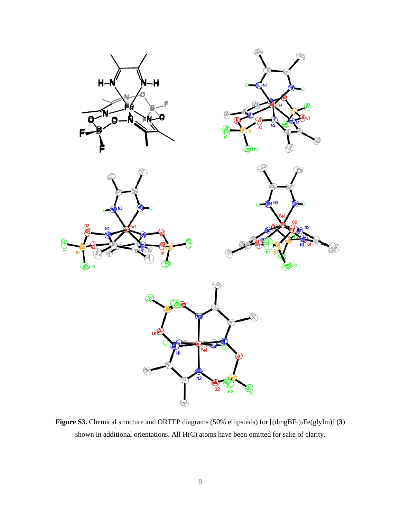

Figure S3. Chemical structure and ORTEP diagrams (50% ellipsoids) for  $[(dmgBF<sub>2</sub>)<sub>2</sub>Fe(glyIm)]$  (3) shown in additional orientations. All H(C) atoms have been omitted for sake of clarity.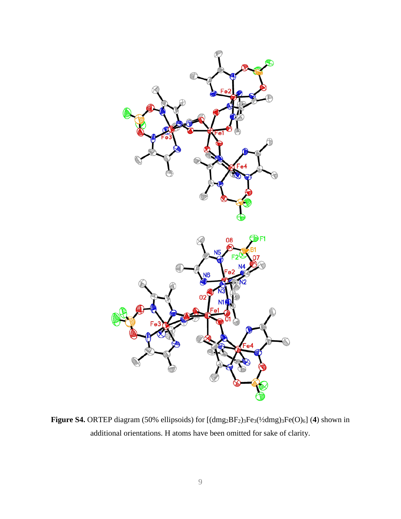

Figure S4. ORTEP diagram (50% ellipsoids) for  $[(dmg_2BF_2)_3Fe_3(\frac{1}{2}dmg)_3Fe(O)_6]$  (4) shown in additional orientations. H atoms have been omitted for sake of clarity.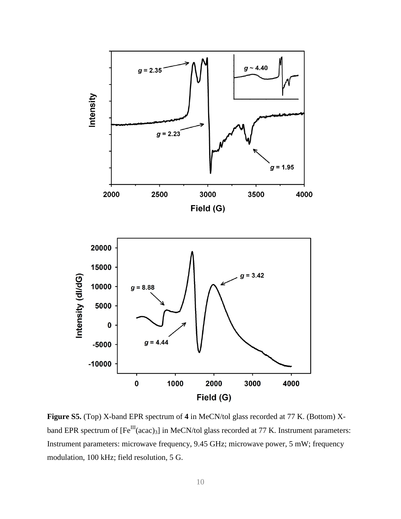

**Figure S5.** (Top) X-band EPR spectrum of **4** in MeCN/tol glass recorded at 77 K. (Bottom) Xband EPR spectrum of  $[Fe^{III}(acac)_3]$  in MeCN/tol glass recorded at 77 K. Instrument parameters: Instrument parameters: microwave frequency, 9.45 GHz; microwave power, 5 mW; frequency modulation, 100 kHz; field resolution, 5 G.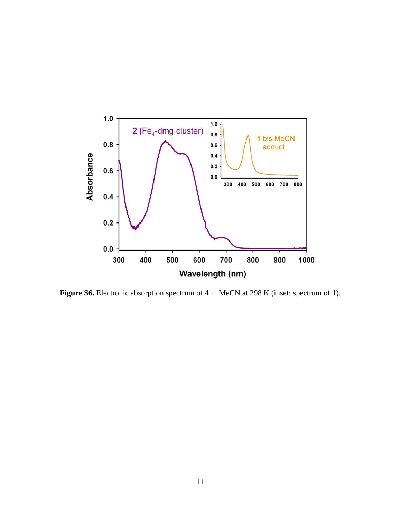

**Figure S6.** Electronic absorption spectrum of **4** in MeCN at 298 K (inset: spectrum of **1**).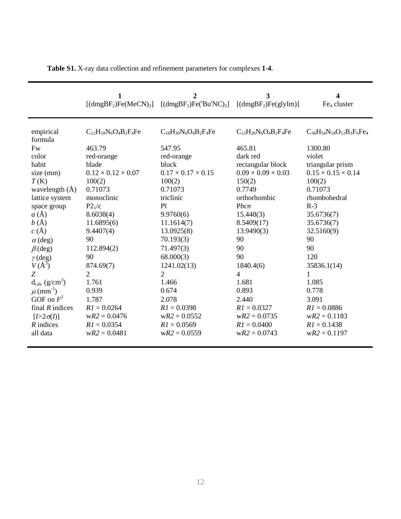|                                 | 1<br>$\left[\frac{\text{dmgBF}_{2}\text{Fe}(MeCN)}{2}\right]$ | $\overline{2}$<br>[ $(dmgBF_2)Fe$ <sup>t</sup> $Bu^iNC)_2$ ] | 3<br>[(dmgBF <sub>2</sub> )Fe(glyIm)]  | 4<br>Fe <sub>4</sub> cluster                    |
|---------------------------------|---------------------------------------------------------------|--------------------------------------------------------------|----------------------------------------|-------------------------------------------------|
| empirical<br>formula<br>Fw      | $C_{12}H_{18}N_6O_4B_2F_4Fe$<br>463.79                        | $C_{18}H_{30}N_6O_4B_2F_4Fe$<br>547.95                       | $C_{12}H_{20}N_6O_4B_2F_4Fe$<br>465.81 | $C_{36}H_{54}N_{18}O_{12}B_3F_6Fe_4$<br>1300.80 |
| color                           | red-orange                                                    | red-orange                                                   | dark red                               | violet                                          |
| habit                           | blade                                                         | block                                                        | rectangular block                      | triangular prism                                |
| size (mm)                       | $0.12 \times 0.12 \times 0.07$                                | $0.17 \times 0.17 \times 0.15$                               | $0.09 \times 0.09 \times 0.03$         | $0.15 \times 0.15 \times 0.14$                  |
| T(K)                            | 100(2)                                                        | 100(2)                                                       | 150(2)                                 | 100(2)                                          |
| wavelength $(A)$                | 0.71073                                                       | 0.71073                                                      | 0.7749                                 | 0.71073                                         |
| lattice system                  | monoclinic                                                    | triclinic                                                    | orthorhombic                           | rhombohedral                                    |
| space group                     | P2 <sub>1</sub> /c                                            | P <sub>1</sub>                                               | Pbcn                                   | $R-3$                                           |
| $a(\AA)$                        | 8.6038(4)                                                     | 9.9760(6)                                                    | 15.448(3)                              | 35.6736(7)                                      |
| b(A)                            | 11.6895(6)                                                    | 11.1614(7)                                                   | 8.5409(17)                             | 35.6736(7)                                      |
| c(A)                            | 9.4407(4)                                                     | 13.0925(8)                                                   | 13.9490(3)                             | 32.5160(9)                                      |
| $\alpha$ (deg)                  | 90                                                            | 70.193(3)                                                    | 90                                     | 90                                              |
| $\beta$ (deg)                   | 112.894(2)                                                    | 71.497(3)                                                    | 90                                     | 90                                              |
| $\gamma$ (deg)                  | 90                                                            | 68.000(3)                                                    | 90                                     | 120                                             |
| $V(A^3)$                        | 874.69(7)                                                     | 1241.02(13)                                                  | 1840.4(6)                              | 35836.1(14)                                     |
| Z                               | 2                                                             | 2                                                            | $\overline{4}$                         | 1                                               |
| $d_{calc}$ (g/cm <sup>3</sup> ) | 1.761                                                         | 1.466                                                        | 1.681                                  | 1.085                                           |
| $\mu$ (mm <sup>-1</sup> )       | 0.939                                                         | 0.674                                                        | 0.893                                  | 0.778                                           |
| GOF on $F^2$                    | 1.787                                                         | 2.078                                                        | 2.440                                  | 3.091                                           |
| final $R$ indices               | $RI = 0.0264$                                                 | $RI = 0.0398$                                                | $RI = 0.0327$                          | $R1 = 0.0886$                                   |
| $[I>2\sigma(I)]$                | $wR2 = 0.0476$                                                | $wR2 = 0.0552$                                               | $wR2 = 0.0735$                         | $wR2 = 0.1183$                                  |
| $R$ indices                     | $RI = 0.0354$                                                 | $R1 = 0.0569$                                                | $R1 = 0.0400$                          | $RI = 0.1438$                                   |
| all data                        | $wR2 = 0.0481$                                                | $wR2 = 0.0559$                                               | $wR2 = 0.0743$                         | $wR2 = 0.1197$                                  |

**Table S1.** X-ray data collection and refinement parameters for complexes **1**-**4**.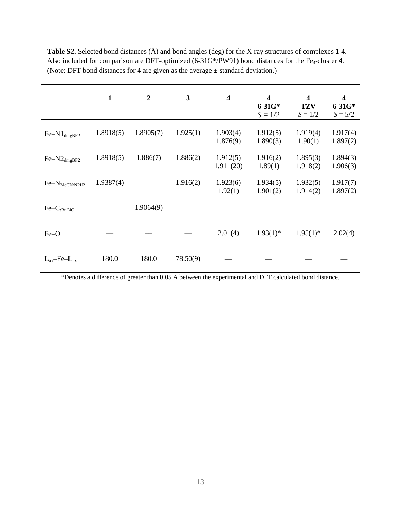|                           | 1         | $\overline{2}$ | 3        | 4                     | $\overline{\mathbf{4}}$<br>$6 - 31G*$<br>$S = 1/2$ | $\overline{\mathbf{4}}$<br><b>TZV</b><br>$S = 1/2$ | 4<br>$6 - 31G*$<br>$S = 5/2$ |
|---------------------------|-----------|----------------|----------|-----------------------|----------------------------------------------------|----------------------------------------------------|------------------------------|
| $Fe-N1_{dmgBF2}$          | 1.8918(5) | 1.8905(7)      | 1.925(1) | 1.903(4)<br>1.876(9)  | 1.912(5)<br>1.890(3)                               | 1.919(4)<br>1.90(1)                                | 1.917(4)<br>1.897(2)         |
| $Fe-N2_{dmgBF2}$          | 1.8918(5) | 1.886(7)       | 1.886(2) | 1.912(5)<br>1.911(20) | 1.916(2)<br>1.89(1)                                | 1.895(3)<br>1.918(2)                               | 1.894(3)<br>1.906(3)         |
| Fe-N <sub>MeCN/N2H2</sub> | 1.9387(4) |                | 1.916(2) | 1.923(6)<br>1.92(1)   | 1.934(5)<br>1.901(2)                               | 1.932(5)<br>1.914(2)                               | 1.917(7)<br>1.897(2)         |
| $Fe-CtBuiNC$              |           | 1.9064(9)      |          |                       |                                                    |                                                    |                              |
| Fe-O                      |           |                |          | 2.01(4)               | $1.93(1)$ *                                        | $1.95(1)$ *                                        | 2.02(4)                      |
| $L_{ax}$ -Fe- $L_{ax}$    | 180.0     | 180.0          | 78.50(9) |                       |                                                    |                                                    |                              |

**Table S2.** Selected bond distances (Å) and bond angles (deg) for the X-ray structures of complexes **1**-**4**. Also included for comparison are DFT-optimized (6-31G\*/PW91) bond distances for the Fe<sub>4</sub>-cluster 4. (Note: DFT bond distances for **4** are given as the average ± standard deviation.)

\*Denotes a difference of greater than 0.05 Å between the experimental and DFT calculated bond distance.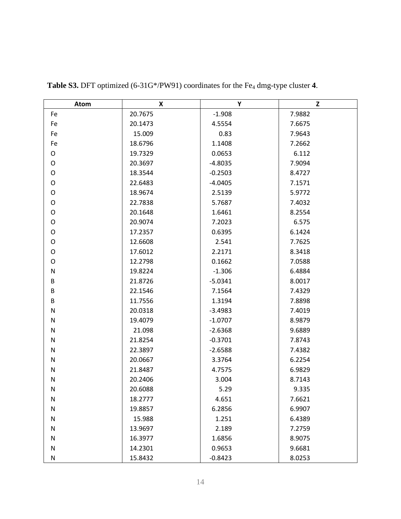| <b>Atom</b>  | X       | Υ         | Z      |
|--------------|---------|-----------|--------|
| Fe           | 20.7675 | $-1.908$  | 7.9882 |
| Fe           | 20.1473 | 4.5554    | 7.6675 |
| Fe           | 15.009  | 0.83      | 7.9643 |
| Fe           | 18.6796 | 1.1408    | 7.2662 |
| O            | 19.7329 | 0.0653    | 6.112  |
| O            | 20.3697 | $-4.8035$ | 7.9094 |
| O            | 18.3544 | $-0.2503$ | 8.4727 |
| O            | 22.6483 | $-4.0405$ | 7.1571 |
| O            | 18.9674 | 2.5139    | 5.9772 |
| $\mathsf O$  | 22.7838 | 5.7687    | 7.4032 |
| O            | 20.1648 | 1.6461    | 8.2554 |
| O            | 20.9074 | 7.2023    | 6.575  |
| O            | 17.2357 | 0.6395    | 6.1424 |
| O            | 12.6608 | 2.541     | 7.7625 |
| O            | 17.6012 | 2.2171    | 8.3418 |
| O            | 12.2798 | 0.1662    | 7.0588 |
| $\mathsf{N}$ | 19.8224 | $-1.306$  | 6.4884 |
| B            | 21.8726 | $-5.0341$ | 8.0017 |
| B            | 22.1546 | 7.1564    | 7.4329 |
| B            | 11.7556 | 1.3194    | 7.8898 |
| $\mathsf{N}$ | 20.0318 | $-3.4983$ | 7.4019 |
| N            | 19.4079 | $-1.0707$ | 8.9879 |
| $\mathsf{N}$ | 21.098  | $-2.6368$ | 9.6889 |
| ${\sf N}$    | 21.8254 | $-0.3701$ | 7.8743 |
| $\mathsf{N}$ | 22.3897 | $-2.6588$ | 7.4382 |
| $\mathsf{N}$ | 20.0667 | 3.3764    | 6.2254 |
| ${\sf N}$    | 21.8487 | 4.7575    | 6.9829 |
| ${\sf N}$    | 20.2406 | 3.004     | 8.7143 |
| $\mathsf{N}$ | 20.6088 | 5.29      | 9.335  |
| N            | 18.2777 | 4.651     | 7.6621 |
| $\mathsf{N}$ | 19.8857 | 6.2856    | 6.9907 |
| ${\sf N}$    | 15.988  | 1.251     | 6.4389 |
| ${\sf N}$    | 13.9697 | 2.189     | 7.2759 |
| $\mathsf{N}$ | 16.3977 | 1.6856    | 8.9075 |
| ${\sf N}$    | 14.2301 | 0.9653    | 9.6681 |
| N            | 15.8432 | $-0.8423$ | 8.0253 |

Table S3. DFT optimized (6-31G\*/PW91) coordinates for the Fe<sub>4</sub> dmg-type cluster 4.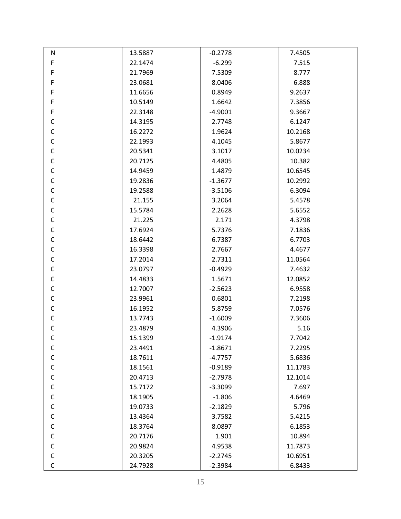| N            | 13.5887 | $-0.2778$ | 7.4505  |
|--------------|---------|-----------|---------|
| $\mathsf F$  | 22.1474 | $-6.299$  | 7.515   |
| F            | 21.7969 | 7.5309    | 8.777   |
| F            | 23.0681 | 8.0406    | 6.888   |
| F            | 11.6656 | 0.8949    | 9.2637  |
| F            | 10.5149 | 1.6642    | 7.3856  |
| F            | 22.3148 | $-4.9001$ | 9.3667  |
| $\mathsf C$  | 14.3195 | 2.7748    | 6.1247  |
| $\mathsf C$  | 16.2272 | 1.9624    | 10.2168 |
| $\mathsf C$  | 22.1993 | 4.1045    | 5.8677  |
| $\mathsf C$  | 20.5341 | 3.1017    | 10.0234 |
| $\mathsf C$  | 20.7125 | 4.4805    | 10.382  |
| $\mathsf C$  | 14.9459 | 1.4879    | 10.6545 |
| $\mathsf C$  | 19.2836 | $-1.3677$ | 10.2992 |
| $\mathsf C$  | 19.2588 | $-3.5106$ | 6.3094  |
| $\mathsf C$  | 21.155  | 3.2064    | 5.4578  |
| $\mathsf C$  | 15.5784 | 2.2628    | 5.6552  |
| $\mathsf C$  | 21.225  | 2.171     | 4.3798  |
| $\mathsf C$  | 17.6924 | 5.7376    | 7.1836  |
| $\mathsf C$  | 18.6442 | 6.7387    | 6.7703  |
| $\mathsf C$  | 16.3398 | 2.7667    | 4.4677  |
| $\mathsf C$  | 17.2014 | 2.7311    | 11.0564 |
| $\mathsf C$  | 23.0797 | $-0.4929$ | 7.4632  |
| $\mathsf C$  | 14.4833 | 1.5671    | 12.0852 |
| $\mathsf C$  | 12.7007 | $-2.5623$ | 6.9558  |
| $\mathsf C$  | 23.9961 | 0.6801    | 7.2198  |
| $\mathsf C$  | 16.1952 | 5.8759    | 7.0576  |
| $\mathsf C$  | 13.7743 | $-1.6009$ | 7.3606  |
| $\mathsf C$  | 23.4879 | 4.3906    | 5.16    |
| $\mathsf{C}$ | 15.1399 | $-1.9174$ | 7.7042  |
| $\mathsf{C}$ | 23.4491 | $-1.8671$ | 7.2295  |
| $\mathsf C$  | 18.7611 | $-4.7757$ | 5.6836  |
| $\mathsf C$  | 18.1561 | $-0.9189$ | 11.1783 |
| $\mathsf C$  | 20.4713 | $-2.7978$ | 12.1014 |
| $\mathsf C$  | 15.7172 | $-3.3099$ | 7.697   |
| $\mathsf C$  | 18.1905 | $-1.806$  | 4.6469  |
| $\mathsf C$  | 19.0733 | $-2.1829$ | 5.796   |
| $\mathsf C$  | 13.4364 | 3.7582    | 5.4215  |
| $\mathsf C$  | 18.3764 | 8.0897    | 6.1853  |
| $\mathsf C$  | 20.7176 | 1.901     | 10.894  |
| $\mathsf C$  | 20.9824 | 4.9538    | 11.7873 |
| $\mathsf{C}$ | 20.3205 | $-2.2745$ | 10.6951 |
| C            | 24.7928 | $-2.3984$ | 6.8433  |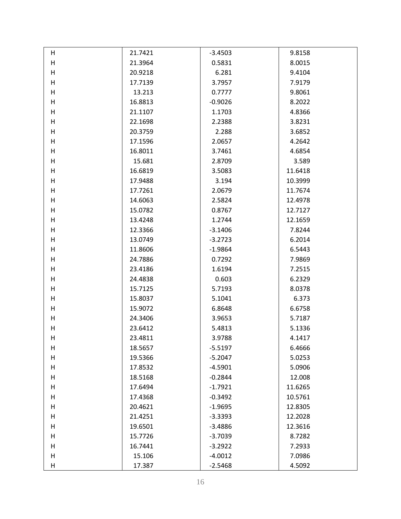| н | 21.7421 | $-3.4503$ | 9.8158  |
|---|---------|-----------|---------|
| Н | 21.3964 | 0.5831    | 8.0015  |
| Н | 20.9218 | 6.281     | 9.4104  |
| Н | 17.7139 | 3.7957    | 7.9179  |
| H | 13.213  | 0.7777    | 9.8061  |
| H | 16.8813 | $-0.9026$ | 8.2022  |
| Н | 21.1107 | 1.1703    | 4.8366  |
| Н | 22.1698 | 2.2388    | 3.8231  |
| Н | 20.3759 | 2.288     | 3.6852  |
| H | 17.1596 | 2.0657    | 4.2642  |
| H | 16.8011 | 3.7461    | 4.6854  |
| Н | 15.681  | 2.8709    | 3.589   |
| Н | 16.6819 | 3.5083    | 11.6418 |
| H | 17.9488 | 3.194     | 10.3999 |
| Н | 17.7261 | 2.0679    | 11.7674 |
| Н | 14.6063 | 2.5824    | 12.4978 |
| H | 15.0782 | 0.8767    | 12.7127 |
| H | 13.4248 | 1.2744    | 12.1659 |
| Н | 12.3366 | $-3.1406$ | 7.8244  |
| Н | 13.0749 | $-3.2723$ | 6.2014  |
| Н | 11.8606 | $-1.9864$ | 6.5443  |
| H | 24.7886 | 0.7292    | 7.9869  |
| H | 23.4186 | 1.6194    | 7.2515  |
| Н | 24.4838 | 0.603     | 6.2329  |
| Н | 15.7125 | 5.7193    | 8.0378  |
| H | 15.8037 | 5.1041    | 6.373   |
| Н | 15.9072 | 6.8648    | 6.6758  |
| Н | 24.3406 | 3.9653    | 5.7187  |
| H | 23.6412 | 5.4813    | 5.1336  |
| н | 23.4811 | 3.9788    | 4.1417  |
| Н | 18.5657 | $-5.5197$ | 6.4666  |
| Н | 19.5366 | $-5.2047$ | 5.0253  |
| Н | 17.8532 | $-4.5901$ | 5.0906  |
| Н | 18.5168 | $-0.2844$ | 12.008  |
| н | 17.6494 | $-1.7921$ | 11.6265 |
| Н | 17.4368 | $-0.3492$ | 10.5761 |
| Н | 20.4621 | $-1.9695$ | 12.8305 |
| Н | 21.4251 | $-3.3393$ | 12.2028 |
| н | 19.6501 | $-3.4886$ | 12.3616 |
| Н | 15.7726 | $-3.7039$ | 8.7282  |
| Н | 16.7441 | $-3.2922$ | 7.2933  |
| Н | 15.106  | $-4.0012$ | 7.0986  |
| н | 17.387  | $-2.5468$ | 4.5092  |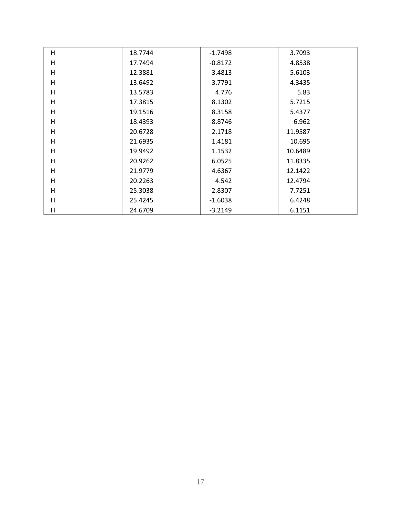| H       | 18.7744 | $-1.7498$ | 3.7093  |
|---------|---------|-----------|---------|
| H       | 17.7494 | $-0.8172$ | 4.8538  |
| Н       | 12.3881 | 3.4813    | 5.6103  |
| H       | 13.6492 | 3.7791    | 4.3435  |
| H       | 13.5783 | 4.776     | 5.83    |
| H       | 17.3815 | 8.1302    | 5.7215  |
| $\sf H$ | 19.1516 | 8.3158    | 5.4377  |
| H       | 18.4393 | 8.8746    | 6.962   |
| H       | 20.6728 | 2.1718    | 11.9587 |
| H       | 21.6935 | 1.4181    | 10.695  |
| H       | 19.9492 | 1.1532    | 10.6489 |
| H       | 20.9262 | 6.0525    | 11.8335 |
| H       | 21.9779 | 4.6367    | 12.1422 |
| H       | 20.2263 | 4.542     | 12.4794 |
| H       | 25.3038 | $-2.8307$ | 7.7251  |
| H       | 25.4245 | $-1.6038$ | 6.4248  |
| Н       | 24.6709 | $-3.2149$ | 6.1151  |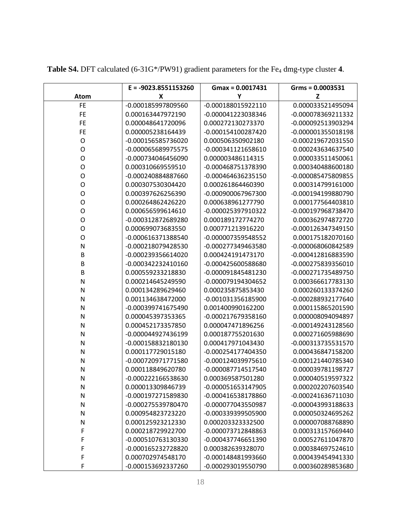|           | $E = -9023.8551153260$ | $Gmax = 0.0017431$ | $Grms = 0.0003531$ |
|-----------|------------------------|--------------------|--------------------|
| Atom      | X                      | Y                  | Z                  |
| <b>FE</b> | -0.000185997809560     | -0.000188015922110 | 0.000033521495094  |
| <b>FE</b> | 0.000163447972190      | -0.000041223038346 | -0.000078369211332 |
| <b>FE</b> | 0.000048641720096      | 0.000272130273370  | -0.000092513903294 |
| <b>FE</b> | 0.000005238164439      | -0.000154100287420 | -0.000001355018198 |
| O         | -0.000156585736020     | 0.000506350902180  | -0.000219672031550 |
| 0         | -0.000065689975575     | -0.000341121658610 | 0.000243634637540  |
| O         | -0.000734046456090     | 0.000003486114315  | 0.000033511450061  |
| 0         | 0.000310669559510      | -0.000468751378390 | 0.000340488600180  |
| O         | -0.000240884887660     | -0.000464636235150 | -0.000085475809855 |
| O         | 0.000307530304420      | 0.000261864460390  | 0.000314799161000  |
| O         | 0.000397626256390      | -0.000900067967300 | -0.000194199880790 |
| O         | 0.000264862426220      | 0.000638961277790  | 0.000177564403810  |
| O         | 0.000656599614610      | -0.000025397910322 | -0.000197968738470 |
| O         | -0.000312872689280     | 0.000189172774270  | 0.000362974872720  |
| O         | 0.000699073683550      | 0.000771213916220  | -0.000126347349150 |
| O         | -0.000616371388540     | -0.000007359548552 | 0.000175182070160  |
| N         | -0.000218079428530     | -0.000277349463580 | -0.000068060842589 |
| $\sf B$   | -0.000239356614020     | 0.000424191473170  | -0.000412816883590 |
| B         | -0.000342232410160     | -0.000425600588680 | -0.000275839356010 |
| B         | 0.000559233218830      | -0.000091845481230 | -0.000271735489750 |
| N         | 0.000214645249590      | -0.000079194304652 | 0.000366617783130  |
| N         | 0.000134289629460      | 0.000235875853430  | 0.000260133374260  |
| N         | 0.001134638472000      | -0.001031356185900 | -0.000288932177640 |
| N         | -0.000399741675490     | 0.001400990162200  | 0.000115865201590  |
| N         | 0.000045397353365      | -0.000217679358160 | 0.000008094094897  |
| N         | 0.000452173357850      | 0.000047471896256  | -0.000149243128560 |
| N         | -0.000044927436199     | 0.000187755201630  | 0.000271605988690  |
| N         | -0.000158832180130     | 0.000417971043430  | -0.000313735531570 |
| N         | 0.000117729015180      | -0.000254177404350 | 0.000436847158200  |
| N         | -0.000720971771580     | -0.000124039975610 | -0.000121440785340 |
| N         | 0.000118849620780      | -0.000087714517540 | 0.000039781198727  |
| N         | -0.000222166538630     | 0.000369587501280  | 0.000040519597322  |
| N         | 0.000013309846739      | -0.000051653147905 | 0.000202207603540  |
| N         | -0.000197271589830     | -0.000416538178860 | -0.000241636711030 |
| N         | -0.000275539780470     | -0.000077043550987 | -0.000043993188633 |
| N         | 0.000954823723220      | -0.000339399505900 | 0.000050324695262  |
| N         | 0.000125923212330      | 0.000203323332500  | 0.000007088768890  |
| F         | 0.000218729922700      | -0.000073712848863 | 0.000313157669440  |
| F         | -0.000510763130330     | -0.000437746651390 | 0.000527611047870  |
| F         | -0.000165232728820     | 0.000382639328070  | 0.000384697524610  |
| F         | 0.000702974548170      | -0.000148481993660 | 0.000439454941330  |
| F         | -0.000153692337260     | -0.000293019550790 | 0.000360289853680  |

Table S4. DFT calculated (6-31G\*/PW91) gradient parameters for the Fe<sub>4</sub> dmg-type cluster 4.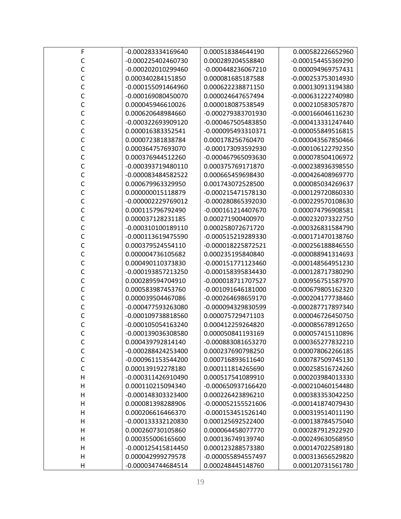| F            | -0.000283334169640 | 0.000518384644190  | 0.000582226652960  |
|--------------|--------------------|--------------------|--------------------|
| C            | -0.000225402460730 | 0.000289204558840  | -0.000154455369290 |
| C            | -0.000202010299460 | -0.000448236067210 | 0.000094969757431  |
| Ċ            | 0.000340284151850  | 0.000081685187588  | -0.000253753014930 |
| C            | -0.000155091464960 | 0.000622238871150  | 0.000130913194380  |
| C            | -0.000169080450070 | 0.000024647657494  | -0.000631222740980 |
| C            | 0.000045946610026  | 0.000018087538549  | 0.000210583057870  |
| C            | 0.000620648984660  | -0.000279383701930 | -0.000166046116230 |
| C            | -0.000322693909120 | -0.000467505483850 | -0.000413331247440 |
| C            | 0.000016383352541  | -0.000095493310371 | -0.000055849516815 |
| C            | 0.000072381838784  | 0.000178256760470  | -0.000043567850466 |
| C            | 0.000364757693070  | -0.000173093592930 | -0.000106122792350 |
| C            | 0.000376944512260  | -0.000467965093630 | 0.000078504106972  |
| C            | -0.000393719480110 | 0.000375769171870  | -0.000238936398550 |
| C            | -0.000083484582522 | 0.000665459698430  | -0.000426408969770 |
| C            | 0.000679963329950  | 0.001743072528500  | 0.000085034269637  |
| C            | 0.000000015118879  | -0.000215471578130 | -0.000129720860330 |
| C            | -0.000002229769012 | -0.000280865392030 | -0.000229570108630 |
| C            | 0.000115796792490  | -0.000161214407670 | 0.000074796908581  |
| C            | 0.000037128231185  | 0.000271900400970  | -0.000232073322750 |
| C            | -0.000310100189110 | 0.000258072671720  | -0.000326831584790 |
| C            | -0.000113619475590 | -0.000515219289330 | -0.000171470138760 |
| Ċ            | 0.000379524554110  | -0.000018225872521 | -0.000256188846550 |
| C            | 0.000004736105682  | 0.000235195840840  | -0.000088941314693 |
| Ċ            | 0.000490110373830  | -0.000151771123460 | -0.000148564951230 |
| C            | -0.000193857213250 | -0.000158395834430 | -0.000128717380290 |
| C            | 0.000289594704910  | -0.000018711707527 | 0.000956751587970  |
| C            | 0.000583987453760  | -0.001091646181000 | -0.000679805162320 |
| C            | 0.000039504467086  | -0.000264698659170 | -0.000204177738460 |
| С            | -0.000477593263080 | -0.000094329830599 | -0.000287717897340 |
| C            | -0.000109738818560 | 0.000075729471103  | 0.000046726450750  |
| С            | -0.000105054163240 | 0.000412259264820  | -0.000085678912650 |
|              | -0.000139036308580 | 0.000050841193169  | 0.000057415110896  |
| C            | 0.000439792814140  | -0.000883081653270 | 0.000365277832210  |
| C            | -0.000288424253400 | 0.000237690798250  | 0.000078062266185  |
| C            | -0.000961153544200 | 0.000716893611640  | 0.000787509745130  |
| $\mathsf{C}$ | 0.000139192278180  | 0.000111814265690  | 0.000258516724260  |
| $\mathsf{H}$ | -0.000311426910490 | 0.000517541089910  | 0.000203984013330  |
| H            | 0.000110215094340  | -0.000650937166420 | -0.000210460154480 |
| H            | -0.000148303323400 | 0.000226423896210  | 0.000383353042250  |
| $\mathsf{H}$ | 0.000081398288906  | -0.000052155521606 | -0.000141874079430 |
| $\mathsf{H}$ | 0.000206616466370  | -0.000153451526140 | 0.000319514011190  |
| H            | -0.000133332120830 | 0.000125692522400  | -0.000138784575040 |
| H            | 0.000260730105860  | 0.000064458077770  | 0.000287912922920  |
| $\mathsf{H}$ | 0.000355006165600  | 0.000136749139740  | -0.000249630568950 |
| H            | -0.000125415814450 | 0.000123288573380  | 0.000147022589180  |
| $\mathsf{H}$ | 0.000042999279578  | -0.000055894557497 | 0.000313656529820  |
| H            | -0.000034744684514 | 0.000248445148760  | 0.000120731561780  |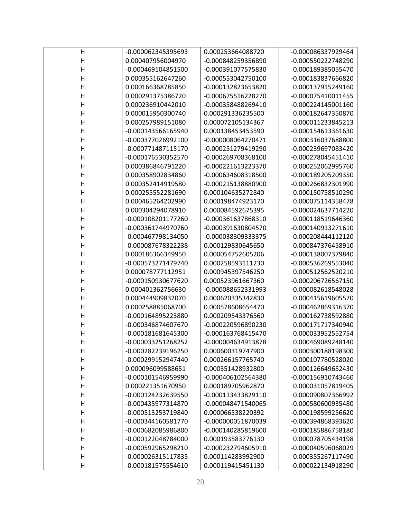| н                       | -0.000062345395693 | 0.000253664088720  | -0.000086337929464 |
|-------------------------|--------------------|--------------------|--------------------|
| H                       | 0.000407956004970  | -0.000848259356890 | -0.000550222748290 |
| $\mathsf{H}$            | -0.000469104851500 | -0.000391077575830 | 0.000189385055470  |
| $\mathsf{H}$            | 0.000355162647260  | -0.000553042750100 | -0.000183837666820 |
| $\overline{\mathsf{H}}$ | 0.000166368785850  | -0.000132823653820 | 0.000137915249160  |
| $\mathsf{H}$            | 0.000291375386720  | -0.000675516228270 | -0.000075410011455 |
| $\mathsf{H}$            | 0.000236910442010  | -0.000358488269410 | -0.000224145001160 |
| $\overline{\mathsf{H}}$ | 0.000015950300740  | 0.000291336235500  | 0.000182647350870  |
| $\overline{\mathsf{H}}$ | 0.000257989151080  | 0.000072105134367  | 0.000011233845213  |
| $\mathsf{H}$            | -0.000143566165940 | 0.000138453453590  | -0.000154613361630 |
| $\mathsf{H}$            | -0.000377026992100 | -0.000008064270471 | 0.000316037688800  |
| H                       | -0.000771487115170 | -0.000251279419290 | -0.000239697083420 |
| $\mathsf{H}$            | -0.000176530352570 | -0.000269708368100 | -0.000278045451410 |
| $\mathsf{H}$            | 0.000386846791220  | -0.000221613223370 | 0.000252062995760  |
| $\mathsf{H}$            | 0.000358902834860  | -0.000634608318500 | -0.000189205209350 |
| $\mathsf{H}$            | 0.000352414919580  | -0.000215138880900 | -0.000266832301990 |
| $\overline{\mathsf{H}}$ | 0.000255552281690  | 0.000104635272840  | 0.000150758510290  |
| $\mathsf{H}$            | 0.000465264202990  | 0.000198474923170  | 0.000075114358478  |
| $\mathsf{H}$            | 0.000304294078910  | 0.000084592675395  | -0.000024637714220 |
| $\mathsf{H}$            | -0.000108201177260 | -0.000361637868310 | 0.000118519646360  |
| $\mathsf{H}$            | -0.000361744970760 | -0.000391630804570 | -0.000140913271610 |
| $\mathsf{H}$            | -0.000467798134050 | -0.000038309333375 | 0.000208444112120  |
| $\mathsf{H}$            | -0.000087678322238 | 0.000129830645650  | -0.000847376458910 |
| $\mathsf{H}$            | 0.000186366349950  | 0.000054752605206  | -0.000138007379840 |
| $\mathsf{H}$            | -0.000573271479740 | 0.000258593111230  | -0.000536269553040 |
| $\overline{\mathsf{H}}$ | 0.000078777112951  | 0.000945397546250  | 0.000512562520210  |
| $\mathsf{H}$            | -0.000150930677620 | 0.000523961667360  | -0.000206726567150 |
| $\mathsf{H}$            | 0.000401362756630  | -0.000088652331993 | -0.000082618548028 |
| H                       | 0.000444909832070  | 0.000620335342830  | 0.000415619605570  |
| $\overline{\mathsf{H}}$ | 0.000258885068700  | 0.000578608654470  | -0.000462869316370 |
| $\mathsf{H}$            | -0.000164895223880 | 0.000209543376560  | 0.000162738592880  |
| $\mathsf{H}$            | -0.000346874607670 | -0.000220596890230 | 0.000171717340940  |
| H                       | -0.000181681645300 | -0.000163768415470 | 0.000033952552754  |
| Н                       | -0.000033251268252 | -0.000004634913878 | 0.000469089248140  |
| Н                       | -0.000282239196250 | 0.000600319747900  | 0.000300188198300  |
| H                       | -0.000299152947440 | 0.000266157765740  | -0.000107780528020 |
| H                       | 0.000096099588651  | 0.000351428932800  | 0.000126649652430  |
| $\mathsf{H}$            | -0.000101546959990 | -0.000406102564380 | -0.000156910743460 |
| H                       | 0.000221351670950  | 0.000189705962870  | 0.000031057819405  |
| Η                       | -0.000124232639550 | -0.000113433829110 | 0.000090807366992  |
| H                       | -0.000435977314870 | -0.000048471540065 | -0.000580600935480 |
| $\mathsf{H}$            | -0.000513253719840 | 0.000066538220392  | -0.000198599256620 |
| $\mathsf{H}$            | -0.000344160581770 | -0.000000051870039 | -0.000394868393620 |
| H                       | -0.000682085986800 | -0.000140285819600 | -0.000185886758180 |
| $\mathsf{H}$            | -0.000122048784000 | 0.000193583776130  | 0.000078705434198  |
| $\mathsf{H}$            | -0.000592965298210 | -0.000232794605910 | -0.000040596068029 |
| $\mathsf{H}$            | -0.000026315117835 | 0.000114283992900  | 0.000355267117490  |
| $\mathsf{H}$            | -0.000181575554610 | 0.000119415451130  | -0.000022134918290 |